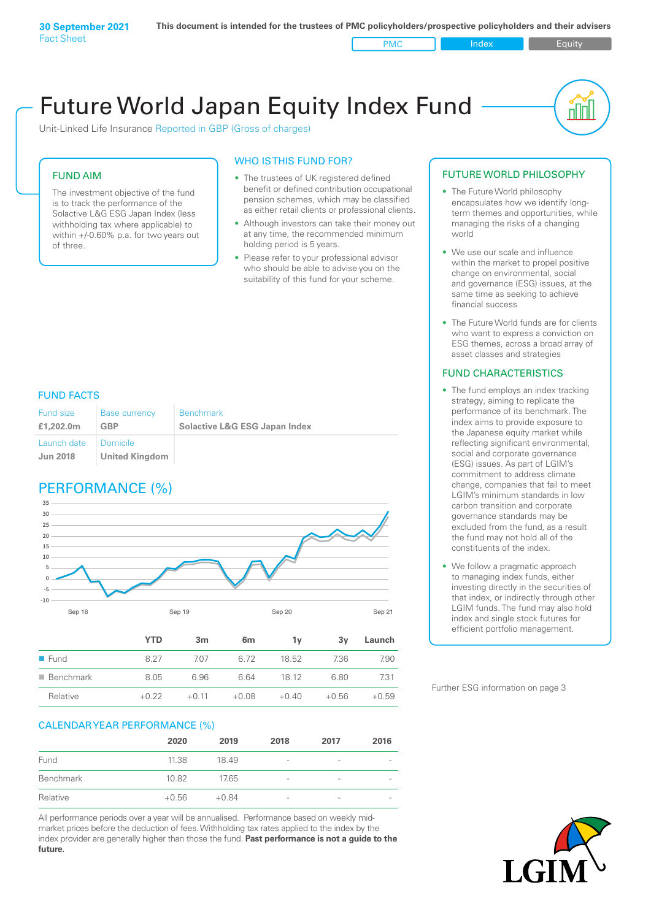Unit-Linked Life Insurance Reported in GBP (Gross of charges)

#### FUND AIM

The investment objective of the fund is to track the performance of the Solactive L&G ESG Japan Index (less withholding tax where applicable) to within +/-0.60% p.a. for two years out of three.

#### WHO IS THIS FUND FOR?

- The trustees of UK registered defined benefit or defined contribution occupational pension schemes, which may be classified as either retail clients or professional clients.
- Although investors can take their money out at any time, the recommended minimum holding period is 5 years.
- Please refer to your professional advisor who should be able to advise you on the suitability of this fund for your scheme.

#### FUND FACTS

| Fund size<br>£1,202.0m | Base currency<br>GBP  | <b>Benchmark</b><br><b>Solactive L&amp;G ESG Japan Index</b> |
|------------------------|-----------------------|--------------------------------------------------------------|
| Launch date   Domicile |                       |                                                              |
| <b>Jun 2018</b>        | <b>United Kingdom</b> |                                                              |

## PERFORMANCE (%)



|                          | <b>YTD</b> | 3m      | 6 <sub>m</sub> | ٦v      | 3v      | Launch  |
|--------------------------|------------|---------|----------------|---------|---------|---------|
| $\blacksquare$ Fund      | 8.27       | 707     | 6.72           | 18.52   | 7.36    | 7.90    |
| $\blacksquare$ Benchmark | 8.05       | 6.96    | 6.64           | 18 12   | 6.80    | 7.31    |
| Relative                 | $+0.22$    | $+0.11$ | $+0.08$        | $+0.40$ | $+0.56$ | $+0.59$ |

#### CALENDAR YEAR PERFORMANCE (%)

|           | 2020    | 2019    | 2018                     | 2017            | 2016                     |
|-----------|---------|---------|--------------------------|-----------------|--------------------------|
| Fund      | 11.38   | 18.49   | $\overline{\phantom{a}}$ | $\qquad \qquad$ |                          |
| Benchmark | 10.82   | 17.65   | -                        | -               | $\overline{\phantom{a}}$ |
| Relative  | $+0.56$ | $+0.84$ | $\overline{\phantom{a}}$ | $\qquad \qquad$ | $\overline{\phantom{a}}$ |

All performance periods over a year will be annualised. Performance based on weekly midmarket prices before the deduction of fees. Withholding tax rates applied to the index by the index provider are generally higher than those the fund. **Past performance is not a guide to the future.**

#### FUTURE WORLD PHILOSOPHY

• The Future World philosophy encapsulates how we identify longterm themes and opportunities, while managing the risks of a changing world

nn

- We use our scale and influence within the market to propel positive change on environmental, social and governance (ESG) issues, at the same time as seeking to achieve financial success
- The Future World funds are for clients who want to express a conviction on ESG themes, across a broad array of asset classes and strategies

#### FUND CHARACTERISTICS

- The fund employs an index tracking strategy, aiming to replicate the performance of its benchmark. The index aims to provide exposure to the Japanese equity market while reflecting significant environmental, social and corporate governance (ESG) issues. As part of LGIM's commitment to address climate change, companies that fail to meet LGIM's minimum standards in low carbon transition and corporate governance standards may be excluded from the fund, as a result the fund may not hold all of the constituents of the index.
- We follow a pragmatic approach to managing index funds, either investing directly in the securities of that index, or indirectly through other LGIM funds. The fund may also hold index and single stock futures for efficient portfolio management.

Further ESG information on page 3

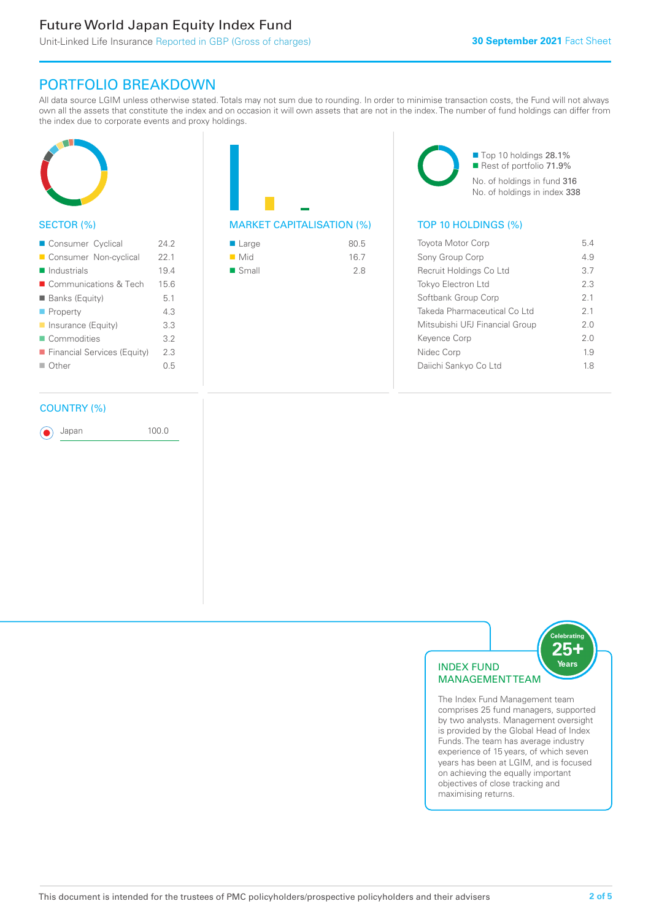# PORTFOLIO BREAKDOWN

All data source LGIM unless otherwise stated. Totals may not sum due to rounding. In order to minimise transaction costs, the Fund will not always own all the assets that constitute the index and on occasion it will own assets that are not in the index. The number of fund holdings can differ from the index due to corporate events and proxy holdings.



#### SECTOR (%)

| Consumer Cyclical           | 242  |
|-----------------------------|------|
| Consumer Non-cyclical       | 22.1 |
| $\blacksquare$ Industrials  | 19.4 |
| ■ Communications & Tech     | 15.6 |
| <b>Banks (Equity)</b>       | 5.1  |
| $\blacksquare$ Property     | 4.3  |
| Insurance (Equity)          | 3.3  |
| Commodities                 | 3.2  |
| Financial Services (Equity) | 2.3  |
| $\Box$ Other                | 0.5  |
|                             |      |

#### COUNTRY (%)

Japan 100.0

MARKET CAPITALISATION (%) TOP 10 HOLDINGS (%)

| $\blacksquare$ Large | 80.5 |
|----------------------|------|
| $\blacksquare$ Mid   | 16.7 |
| $\blacksquare$ Small | 2.8  |

■ Top 10 holdings 28.1% ■ Rest of portfolio 71.9% No. of holdings in fund 316 No. of holdings in index 338

| <b>Toyota Motor Corp</b>       | 54  |
|--------------------------------|-----|
| Sony Group Corp                | 49  |
| Recruit Holdings Co Ltd        | 37  |
| <b>Tokyo Electron Ltd</b>      | 2.3 |
| Softbank Group Corp            | 21  |
| Takeda Pharmaceutical Co Ltd   | 21  |
| Mitsubishi UFJ Financial Group | 20  |
| Keyence Corp                   | 20  |
| Nidec Corp                     | 19  |
| Daiichi Sankyo Co Ltd          | 18  |
|                                |     |



The Index Fund Management team comprises 25 fund managers, supported by two analysts. Management oversight is provided by the Global Head of Index Funds. The team has average industry experience of 15 years, of which seven years has been at LGIM, and is focused on achieving the equally important objectives of close tracking and maximising returns.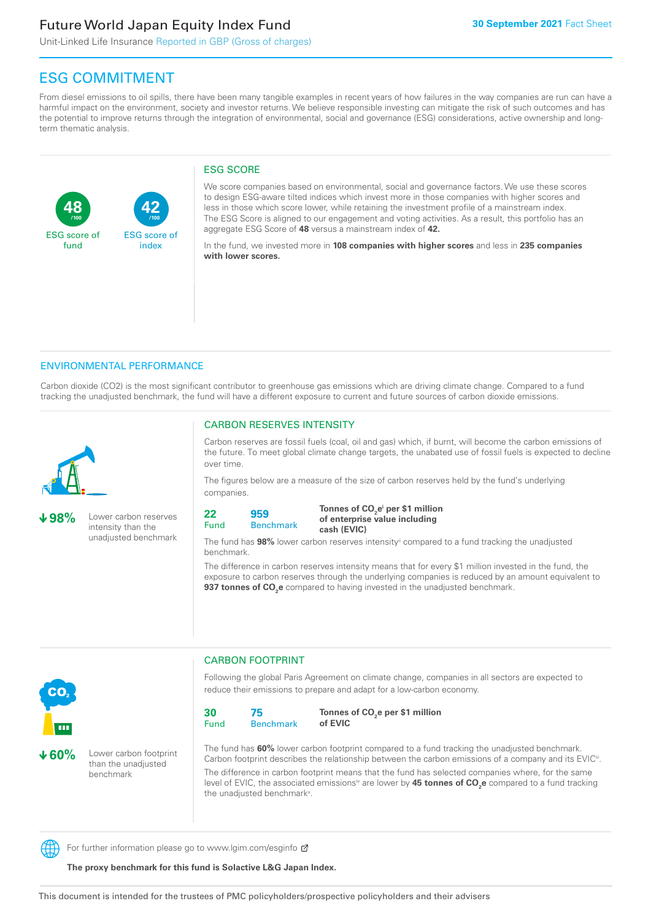**42**

ESG score of index

Unit-Linked Life Insurance Reported in GBP (Gross of charges)

# ESG COMMITMENT

From diesel emissions to oil spills, there have been many tangible examples in recent years of how failures in the way companies are run can have a harmful impact on the environment, society and investor returns. We believe responsible investing can mitigate the risk of such outcomes and has the potential to improve returns through the integration of environmental, social and governance (ESG) considerations, active ownership and longterm thematic analysis.

#### ESG SCORE

We score companies based on environmental, social and governance factors. We use these scores to design ESG-aware tilted indices which invest more in those companies with higher scores and less in those which score lower, while retaining the investment profile of a mainstream index. The ESG Score is aligned to our engagement and voting activities. As a result, this portfolio has an aggregate ESG Score of **48** versus a mainstream index of **42.**

In the fund, we invested more in **108 companies with higher scores** and less in **235 companies with lower scores.**

#### ENVIRONMENTAL PERFORMANCE

**/100 /100**

Carbon dioxide (CO2) is the most significant contributor to greenhouse gas emissions which are driving climate change. Compared to a fund tracking the unadjusted benchmark, the fund will have a different exposure to current and future sources of carbon dioxide emissions.



**48**

ESG score of fund

**98%** Lower carbon reserves intensity than the unadjusted benchmark

#### CARBON RESERVES INTENSITY

Carbon reserves are fossil fuels (coal, oil and gas) which, if burnt, will become the carbon emissions of the future. To meet global climate change targets, the unabated use of fossil fuels is expected to decline over time.

The figures below are a measure of the size of carbon reserves held by the fund's underlying companies.

```
22
Fund
         959
```
Benchmark

Tonnes of CO<sub>2</sub>e<sup>i</sup> per \$1 million **of enterprise value including cash (EVIC)**

The fund has **98%** lower carbon reserves intensityii compared to a fund tracking the unadjusted benchmark.

The difference in carbon reserves intensity means that for every \$1 million invested in the fund, the exposure to carbon reserves through the underlying companies is reduced by an amount equivalent to **937 tonnes of CO<sub>2</sub>e** compared to having invested in the unadjusted benchmark.



**60%** Lower carbon footprint than the unadjusted benchmark

CARBON FOOTPRINT

Following the global Paris Agreement on climate change, companies in all sectors are expected to reduce their emissions to prepare and adapt for a low-carbon economy.



Tonnes of CO<sub>2</sub>e per \$1 million **of EVIC**

The fund has **60%** lower carbon footprint compared to a fund tracking the unadjusted benchmark. Carbon footprint describes the relationship between the carbon emissions of a company and its EVIC<sup>ii</sup>. The difference in carbon footprint means that the fund has selected companies where, for the same level of EVIC, the associated emissionsi<sup>v</sup> are lower by **45 tonnes of CO<sub>2</sub>e** compared to a fund tracking the unadjusted benchmark<sup>v</sup>.

For further information please go to www.lgim.com/esginfo  $\sigma$ 

**The proxy benchmark for this fund is Solactive L&G Japan Index.**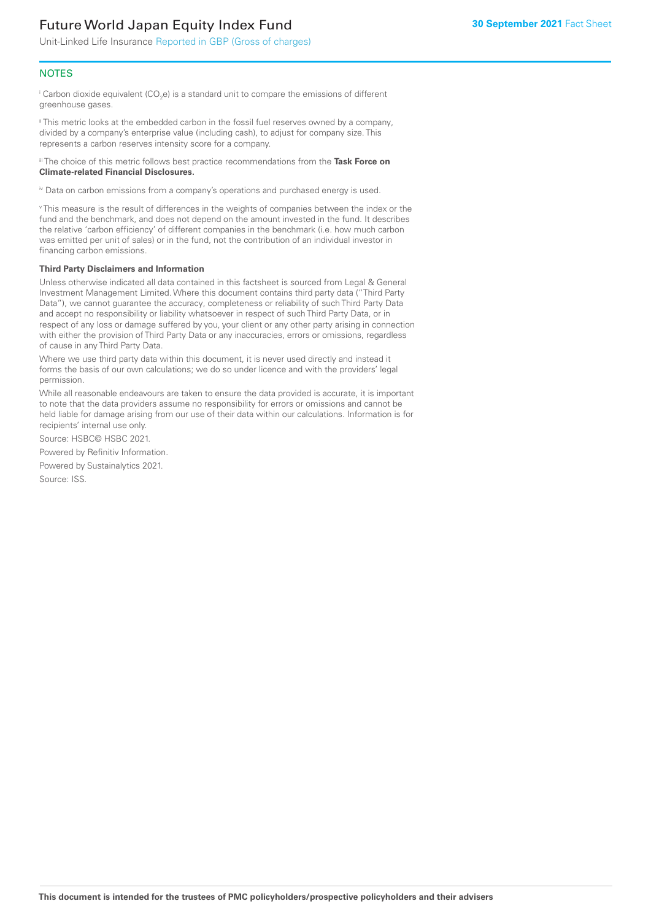Unit-Linked Life Insurance Reported in GBP (Gross of charges)

#### **NOTES**

 $^\mathrm{i}$  Carbon dioxide equivalent (CO<sub>2</sub>e) is a standard unit to compare the emissions of different greenhouse gases.

ii This metric looks at the embedded carbon in the fossil fuel reserves owned by a company, divided by a company's enterprise value (including cash), to adjust for company size. This represents a carbon reserves intensity score for a company.

iii The choice of this metric follows best practice recommendations from the **Task Force on Climate-related Financial Disclosures.**

iv Data on carbon emissions from a company's operations and purchased energy is used.

v This measure is the result of differences in the weights of companies between the index or the fund and the benchmark, and does not depend on the amount invested in the fund. It describes the relative 'carbon efficiency' of different companies in the benchmark (i.e. how much carbon was emitted per unit of sales) or in the fund, not the contribution of an individual investor in financing carbon emissions.

#### **Third Party Disclaimers and Information**

Unless otherwise indicated all data contained in this factsheet is sourced from Legal & General Investment Management Limited. Where this document contains third party data ("Third Party Data"), we cannot guarantee the accuracy, completeness or reliability of such Third Party Data and accept no responsibility or liability whatsoever in respect of such Third Party Data, or in respect of any loss or damage suffered by you, your client or any other party arising in connection with either the provision of Third Party Data or any inaccuracies, errors or omissions, regardless of cause in any Third Party Data.

Where we use third party data within this document, it is never used directly and instead it forms the basis of our own calculations; we do so under licence and with the providers' legal permission.

While all reasonable endeavours are taken to ensure the data provided is accurate, it is important to note that the data providers assume no responsibility for errors or omissions and cannot be held liable for damage arising from our use of their data within our calculations. Information is for recipients' internal use only.

Source: HSBC© HSBC 2021.

Powered by Refinitiv Information.

Powered by Sustainalytics 2021.

Source: ISS.